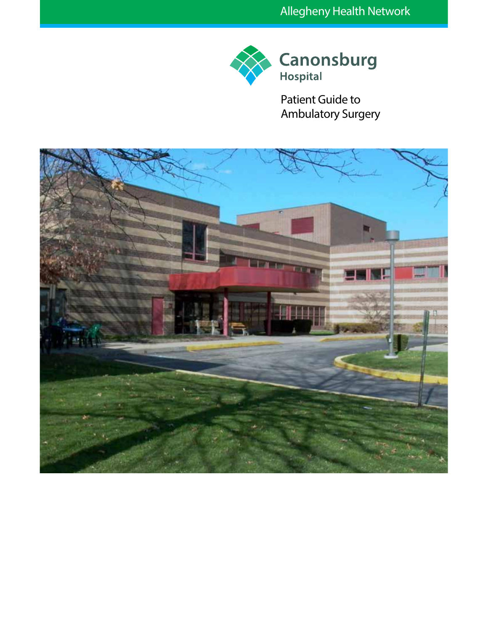

Patient Guide to Ambulatory Surgery

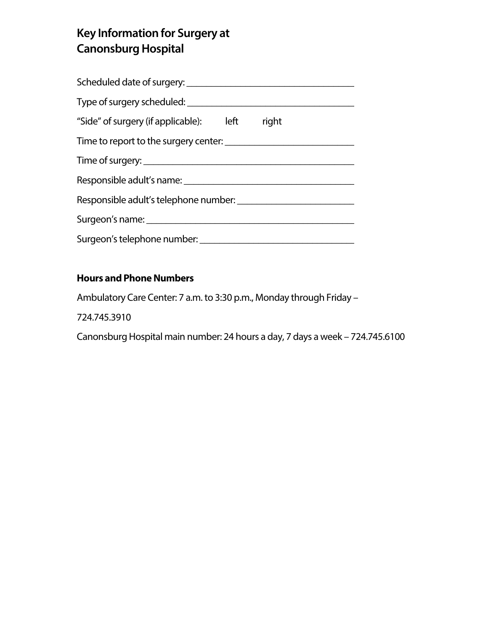# **Key Information for Surgery at Canonsburg Hospital**

| Scheduled date of surgery:                    |  |  |  |  |  |  |  |  |  |  |
|-----------------------------------------------|--|--|--|--|--|--|--|--|--|--|
|                                               |  |  |  |  |  |  |  |  |  |  |
| "Side" of surgery (if applicable): left right |  |  |  |  |  |  |  |  |  |  |
|                                               |  |  |  |  |  |  |  |  |  |  |
|                                               |  |  |  |  |  |  |  |  |  |  |
| Responsible adult's name:                     |  |  |  |  |  |  |  |  |  |  |
|                                               |  |  |  |  |  |  |  |  |  |  |
| Surgeon's name:                               |  |  |  |  |  |  |  |  |  |  |
|                                               |  |  |  |  |  |  |  |  |  |  |

## **Hours and Phone Numbers**

Ambulatory Care Center: 7 a.m. to 3:30 p.m., Monday through Friday –

724.745.3910

Canonsburg Hospital main number: 24 hours a day, 7 days a week – 724.745.6100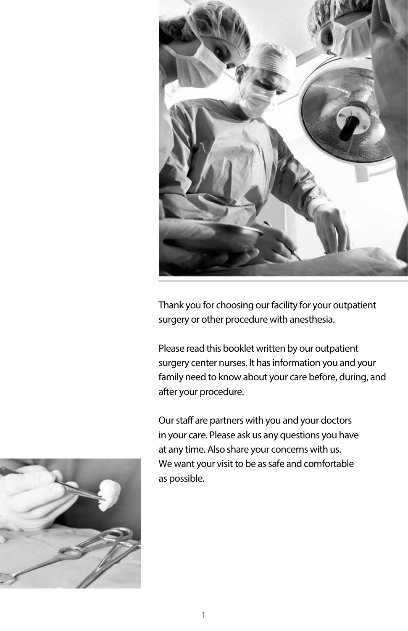

Thank you for choosing our facility for your outpatient surgery or other procedure with anesthesia.

Please read this booklet written by our outpatient surgery center nurses. It has information you and your family need to know about your care before, during, and after your procedure.

Our staff are partners with you and your doctors in your care. Please ask us any questions you have at any time. Also share your concerns with us. We want your visit to be as safe and comfortable as possible.

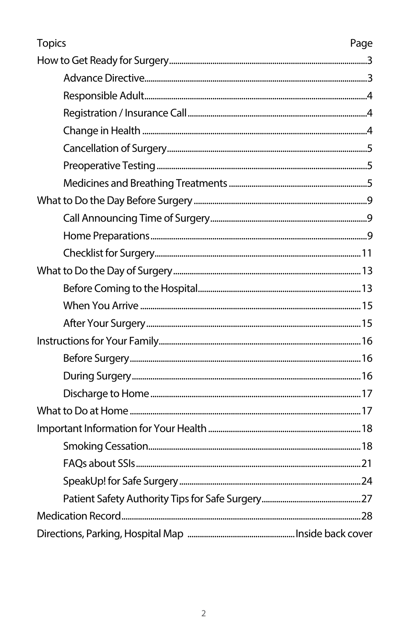| <b>Topics</b> | Page |
|---------------|------|
|               |      |
|               |      |
|               |      |
|               |      |
|               |      |
|               |      |
|               |      |
|               |      |
|               |      |
|               |      |
|               |      |
|               |      |
|               |      |
|               |      |
|               |      |
|               |      |
|               |      |
|               |      |
|               |      |
|               |      |
|               |      |
|               |      |
|               |      |
|               |      |
|               |      |
|               |      |
|               |      |
|               |      |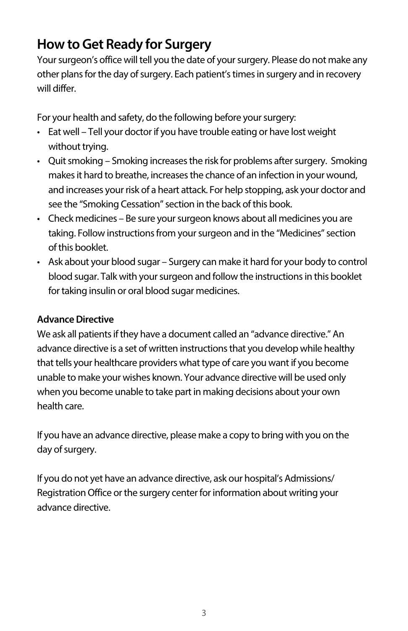## **How to Get Ready for Surgery**

Your surgeon's office will tell you the date of your surgery. Please do not make any other plans for the day of surgery. Each patient's times in surgery and in recovery will differ.

For your health and safety, do the following before your surgery:

- Eat well Tell your doctor if you have trouble eating or have lost weight without trying.
- Quit smoking Smoking increases the risk for problems after surgery. Smoking makes it hard to breathe, increases the chance of an infection in your wound, and increases your risk of a heart attack. For help stopping, ask your doctor and see the "Smoking Cessation" section in the back of this book.
- Check medicines Be sure your surgeon knows about all medicines you are taking. Follow instructions from your surgeon and in the "Medicines" section of this booklet.
- Ask about your blood sugar Surgery can make it hard for your body to control blood sugar. Talk with your surgeon and follow the instructions in this booklet for taking insulin or oral blood sugar medicines.

### **Advance Directive**

We ask all patients if they have a document called an "advance directive." An advance directive is a set of written instructions that you develop while healthy that tells your healthcare providers what type of care you want if you become unable to make your wishes known. Your advance directive will be used only when you become unable to take part in making decisions about your own health care.

If you have an advance directive, please make a copy to bring with you on the day of surgery.

If you do not yet have an advance directive, ask our hospital's Admissions/ Registration Office or the surgery center for information about writing your advance directive.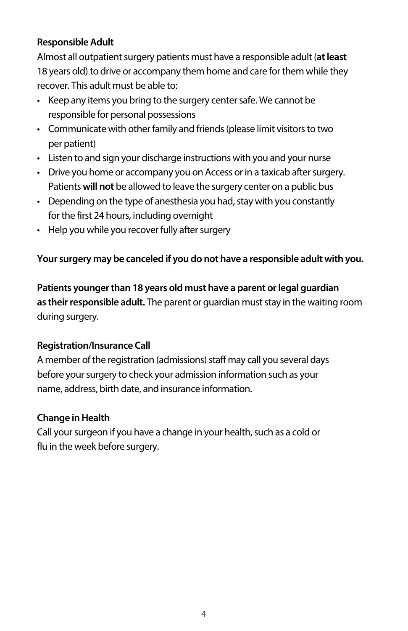## **Responsible Adult**

Almost all outpatient surgery patients must have a responsible adult (**at least** 18 years old) to drive or accompany them home and care for them while they recover. This adult must be able to:

- Keep any items you bring to the surgery center safe. We cannot be responsible for personal possessions
- Communicate with other family and friends (please limit visitors to two per patient)
- Listen to and sign your discharge instructions with you and your nurse
- Drive you home or accompany you on Access or in a taxicab after surgery. Patients **will not** be allowed to leave the surgery center on a public bus
- Depending on the type of anesthesia you had, stay with you constantly for the first 24 hours, including overnight
- Help you while you recover fully after surgery

#### **Your surgery may be canceled if you do not have a responsible adult with you.**

**Patients younger than 18 years old must have a parent or legal guardian as their responsible adult.** The parent or guardian must stay in the waiting room during surgery.

#### **Registration/Insurance Call**

A member of the registration (admissions) staff may call you several days before your surgery to check your admission information such as your name, address, birth date, and insurance information.

#### **Change in Health**

Call your surgeon if you have a change in your health, such as a cold or flu in the week before surgery.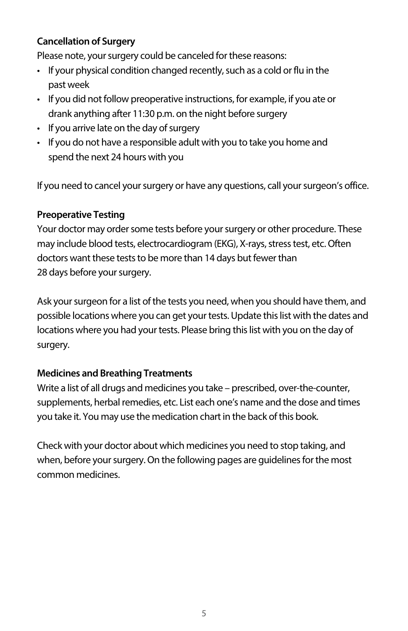## **Cancellation of Surgery**

Please note, your surgery could be canceled for these reasons:

- If your physical condition changed recently, such as a cold or flu in the past week
- If you did not follow preoperative instructions, for example, if you ate or drank anything after 11:30 p.m. on the night before surgery
- If you arrive late on the day of surgery
- If you do not have a responsible adult with you to take you home and spend the next 24 hours with you

If you need to cancel your surgery or have any questions, call your surgeon's office.

#### **Preoperative Testing**

Your doctor may order some tests before your surgery or other procedure. These may include blood tests, electrocardiogram (EKG), X-rays, stress test, etc. Often doctors want these tests to be more than 14 days but fewer than 28 days before your surgery.

Ask your surgeon for a list of the tests you need, when you should have them, and possible locations where you can get your tests. Update this list with the dates and locations where you had your tests. Please bring this list with you on the day of surgery.

#### **Medicines and Breathing Treatments**

Write a list of all drugs and medicines you take – prescribed, over-the-counter, supplements, herbal remedies, etc. List each one's name and the dose and times you take it. You may use the medication chart in the back of this book.

Check with your doctor about which medicines you need to stop taking, and when, before your surgery. On the following pages are guidelines for the most common medicines.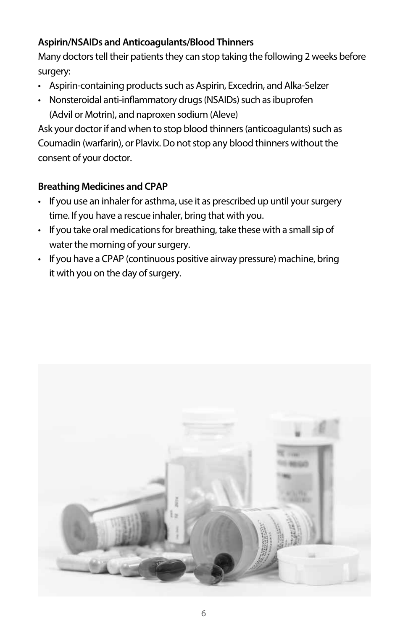## **Aspirin/NSAIDs and Anticoagulants/Blood Thinners**

Many doctors tell their patients they can stop taking the following 2 weeks before surgery:

- Aspirin-containing products such as Aspirin, Excedrin, and Alka-Selzer
- Nonsteroidal anti-inflammatory drugs (NSAIDs) such as ibuprofen (Advil or Motrin), and naproxen sodium (Aleve)

Ask your doctor if and when to stop blood thinners (anticoagulants) such as Coumadin (warfarin), or Plavix. Do not stop any blood thinners without the consent of your doctor.

#### **Breathing Medicines and CPAP**

- If you use an inhaler for asthma, use it as prescribed up until your surgery time. If you have a rescue inhaler, bring that with you.
- If you take oral medications for breathing, take these with a small sip of water the morning of your surgery.
- If you have a CPAP (continuous positive airway pressure) machine, bring it with you on the day of surgery.

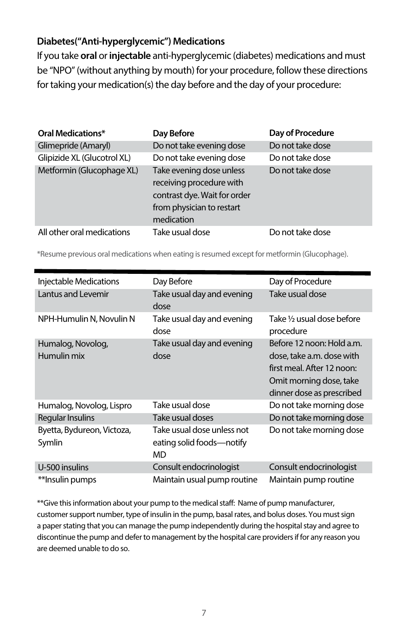#### **Diabetes("Anti-hyperglycemic") Medications**

If you take **oral** or **injectable** anti-hyperglycemic (diabetes) medications and must be "NPO" (without anything by mouth) for your procedure, follow these directions for taking your medication(s) the day before and the day of your procedure:

| <b>Oral Medications*</b>    | Day Before                                                                                                                      | Day of Procedure |
|-----------------------------|---------------------------------------------------------------------------------------------------------------------------------|------------------|
| Glimepride (Amaryl)         | Do not take evening dose                                                                                                        | Do not take dose |
| Glipizide XL (Glucotrol XL) | Do not take evening dose                                                                                                        | Do not take dose |
| Metformin (Glucophage XL)   | Take evening dose unless<br>receiving procedure with<br>contrast dye. Wait for order<br>from physician to restart<br>medication | Do not take dose |
| All other oral medications  | Take usual dose                                                                                                                 | Do not take dose |

\*Resume previous oral medications when eating isresumed exceptfor metformin (Glucophage).

| Injectable Medications               | Day Before                                                     | Day of Procedure                                                                                                                             |
|--------------------------------------|----------------------------------------------------------------|----------------------------------------------------------------------------------------------------------------------------------------------|
| Lantus and Levemir                   | Take usual day and evening<br>dose                             | Take usual dose                                                                                                                              |
| NPH-Humulin N, Novulin N             | Take usual day and evening<br>dose                             | Take 1/2 usual dose before<br>procedure                                                                                                      |
| Humalog, Novolog,<br>Humulin mix     | Take usual day and evening<br>dose                             | Before 12 noon: Hold a.m.<br>dose, take a.m. dose with<br>first meal. After 12 noon:<br>Omit morning dose, take<br>dinner dose as prescribed |
| Humalog, Novolog, Lispro             | Take usual dose                                                | Do not take morning dose                                                                                                                     |
| Regular Insulins                     | Take usual doses                                               | Do not take morning dose                                                                                                                     |
| Byetta, Bydureon, Victoza,<br>Symlin | Take usual dose unless not<br>eating solid foods—notify<br>MD. | Do not take morning dose                                                                                                                     |
| U-500 insulins                       | Consult endocrinologist                                        | Consult endocrinologist                                                                                                                      |
| **Insulin pumps                      | Maintain usual pump routine                                    | Maintain pump routine                                                                                                                        |

\*\*Give this information about your pump to the medical staff: Name of pump manufacturer, customer support number, type of insulin in the pump, basal rates, and bolus doses. You must sign a paper stating that you can manage the pump independently during the hospital stay and agree to discontinue the pump and defer to management by the hospital care providers if for any reason you are deemed unable to do so.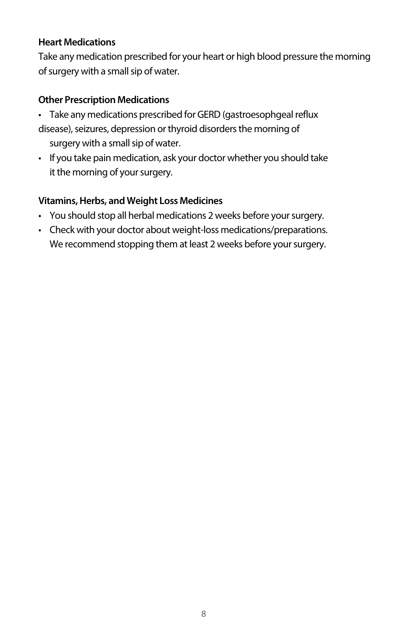#### **Heart Medications**

Take any medication prescribed for your heart or high blood pressure the morning of surgery with a small sip of water.

#### **Other Prescription Medications**

• Take any medications prescribed for GERD (gastroesophgeal reflux disease), seizures, depression or thyroid disorders the morning of

surgery with a small sip of water.

• If you take pain medication, ask your doctor whether you should take it the morning of your surgery.

#### **Vitamins, Herbs, and Weight Loss Medicines**

- You should stop all herbal medications 2 weeks before your surgery.
- Check with your doctor about weight-loss medications/preparations. We recommend stopping them at least 2 weeks before your surgery.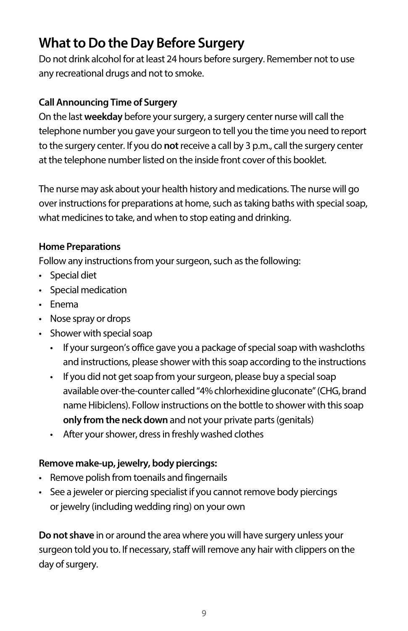## **What to Do the Day Before Surgery**

Do not drink alcohol for at least 24 hours before surgery. Remember not to use any recreational drugs and not to smoke.

## **Call Announcing Time of Surgery**

On the last **weekday** before your surgery, a surgery center nurse will call the telephone number you gave your surgeon to tell you the time you need to report to the surgery center. If you do **not** receive a call by 3 p.m., call the surgery center at the telephone number listed on the inside front cover of this booklet.

The nurse may ask about your health history and medications. The nurse will go over instructions for preparations at home, such as taking baths with special soap, what medicines to take, and when to stop eating and drinking.

## **Home Preparations**

Follow any instructions from your surgeon, such as the following:

- Special diet
- • Special medication
- • Enema
- Nose spray or drops
- Shower with special soap
	- If your surgeon's office gave you a package of special soap with washcloths and instructions, please shower with this soap according to the instructions
	- If you did not get soap from your surgeon, please buy a special soap available over-the-counter called "4% chlorhexidine gluconate" (CHG, brand name Hibiclens). Follow instructions on the bottle to shower with this soap **only from the neck down** and not your private parts (genitals)
	- After your shower, dress in freshly washed clothes

## **Remove make-up, jewelry, body piercings:**

- • Remove polish from toenails and fingernails
- See a jeweler or piercing specialist if you cannot remove body piercings or jewelry (including wedding ring) on your own

**Do not shave** in or around the area where you will have surgery unless your surgeon told you to. If necessary, staff will remove any hair with clippers on the day of surgery.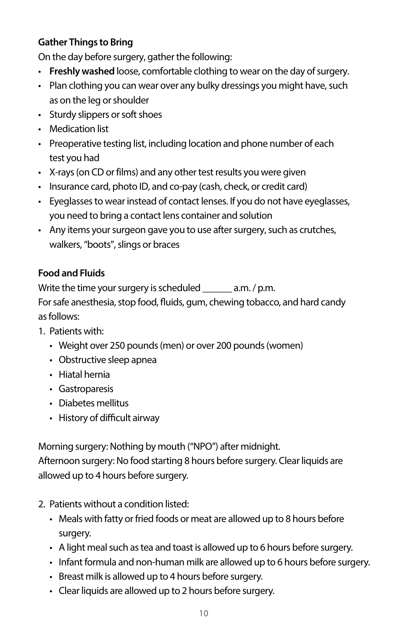## **Gather Things to Bring**

On the day before surgery, gather the following:

- • **Freshly washed** loose, comfortable clothing to wear on the day of surgery.
- Plan clothing you can wear over any bulky dressings you might have, such as on the leg or shoulder
- Sturdy slippers or soft shoes
- Medication list
- Preoperative testing list, including location and phone number of each test you had
- X-rays (on CD or films) and any other test results you were given
- Insurance card, photo ID, and co-pay (cash, check, or credit card)
- Eyeglasses to wear instead of contact lenses. If you do not have eyeglasses, you need to bring a contact lens container and solution
- Any items your surgeon gave you to use after surgery, such as crutches, walkers, "boots", slings or braces

## **Food and Fluids**

Write the time your surgery is scheduled \_\_\_\_\_\_ a.m. / p.m. For safe anesthesia, stop food, fluids, gum, chewing tobacco, and hard candy as follows:

- 1. Patients with:
	- Weight over 250 pounds (men) or over 200 pounds (women)
	- Obstructive sleep apnea
	- Hiatal hernia
	- Gastroparesis
	- Diabetes mellitus
	- History of difficult airway

Morning surgery: Nothing by mouth ("NPO") after midnight. Afternoon surgery: No food starting 8 hours before surgery. Clear liquids are

allowed up to 4 hours before surgery.

- 2. Patients without a condition listed:
	- Meals with fatty or fried foods or meat are allowed up to 8 hours before surgery.
	- A light meal such as tea and toast is allowed up to 6 hours before surgery.
	- Infant formula and non-human milk are allowed up to 6 hours before surgery.
	- Breast milk is allowed up to 4 hours before surgery.
	- Clear liquids are allowed up to 2 hours before surgery.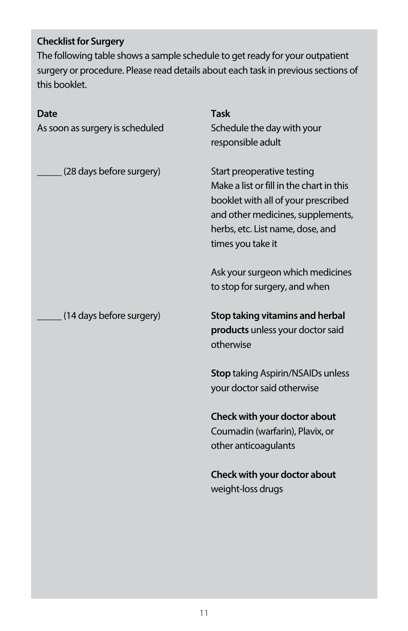## **Checklist for Surgery**

The following table shows a sample schedule to get ready for your outpatient surgery or procedure. Please read details about each task in previous sections of this booklet.

| Date<br>As soon as surgery is scheduled | <b>Task</b><br>Schedule the day with your<br>responsible adult                                                                                                                                              |
|-----------------------------------------|-------------------------------------------------------------------------------------------------------------------------------------------------------------------------------------------------------------|
| (28 days before surgery)                | Start preoperative testing<br>Make a list or fill in the chart in this<br>booklet with all of your prescribed<br>and other medicines, supplements,<br>herbs, etc. List name, dose, and<br>times you take it |
|                                         | Ask your surgeon which medicines<br>to stop for surgery, and when                                                                                                                                           |
| (14 days before surgery)                | Stop taking vitamins and herbal<br>products unless your doctor said<br>otherwise                                                                                                                            |
|                                         | <b>Stop taking Aspirin/NSAIDs unless</b><br>your doctor said otherwise                                                                                                                                      |
|                                         | Check with your doctor about<br>Coumadin (warfarin), Plavix, or<br>other anticoagulants                                                                                                                     |
|                                         | Check with your doctor about<br>weight-loss drugs                                                                                                                                                           |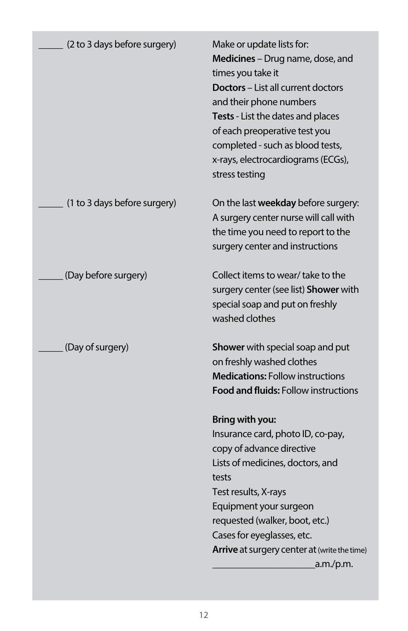| (2 to 3 days before surgery) | Make or update lists for:<br>Medicines - Drug name, dose, and<br>times you take it<br>Doctors - List all current doctors<br>and their phone numbers<br>Tests - List the dates and places<br>of each preoperative test you<br>completed - such as blood tests,<br>x-rays, electrocardiograms (ECGs),<br>stress testing |
|------------------------------|-----------------------------------------------------------------------------------------------------------------------------------------------------------------------------------------------------------------------------------------------------------------------------------------------------------------------|
| (1 to 3 days before surgery) | On the last weekday before surgery:<br>A surgery center nurse will call with<br>the time you need to report to the<br>surgery center and instructions                                                                                                                                                                 |
| (Day before surgery)         | Collect items to wear/ take to the<br>surgery center (see list) Shower with<br>special soap and put on freshly<br>washed clothes                                                                                                                                                                                      |
| (Day of surgery)             | Shower with special soap and put<br>on freshly washed clothes<br><b>Medications: Follow instructions</b><br><b>Food and fluids: Follow instructions</b>                                                                                                                                                               |
|                              | Bring with you:<br>Insurance card, photo ID, co-pay,<br>copy of advance directive<br>Lists of medicines, doctors, and<br>tests<br>Test results, X-rays<br>Equipment your surgeon<br>requested (walker, boot, etc.)<br>Cases for eyeglasses, etc.<br>Arrive at surgery center at (write the time)<br>.a.m./p.m.        |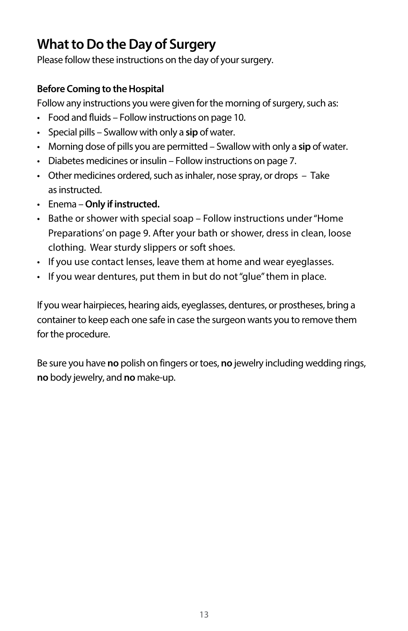## **What to Do the Day of Surgery**

Please follow these instructions on the day of your surgery.

## **Before Coming to the Hospital**

Follow any instructions you were given for the morning of surgery, such as:

- • Food and fluids Follow instructions on page 10.
- • Special pills Swallow with only a **sip** of water.
- • Morning dose of pills you are permitted Swallow with only a **sip** of water.
- Diabetes medicines or insulin Follow instructions on page 7.
- $\cdot$  Other medicines ordered, such as inhaler, nose spray, or drops  $-$  Take as instructed.
- • Enema **Only if instructed.**
- Bathe or shower with special soap Follow instructions under "Home Preparations' on page 9. After your bath or shower, dress in clean, loose clothing. Wear sturdy slippers or soft shoes.
- If you use contact lenses, leave them at home and wear eyeglasses.
- If you wear dentures, put them in but do not "glue" them in place.

If you wear hairpieces, hearing aids, eyeglasses, dentures, or prostheses, bring a container to keep each one safe in case the surgeon wants you to remove them for the procedure.

Be sure you have **no** polish on fingers or toes, **no** jewelry including wedding rings, **no** body jewelry, and **no** make-up.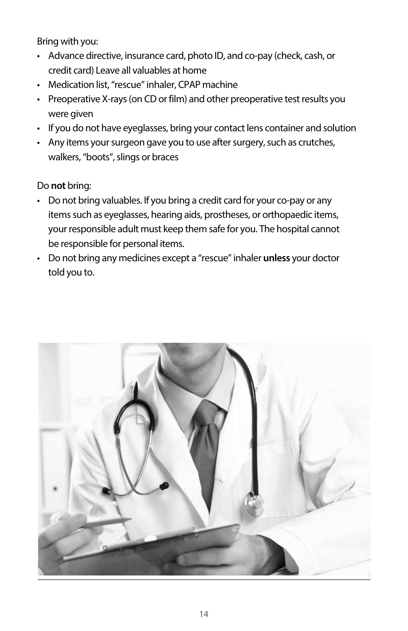Bring with you:

- Advance directive, insurance card, photo ID, and co-pay (check, cash, or credit card) Leave all valuables at home
- Medication list, "rescue" inhaler, CPAP machine
- Preoperative X-rays (on CD or film) and other preoperative test results you were given
- If you do not have eyeglasses, bring your contact lens container and solution
- Any items your surgeon gave you to use after surgery, such as crutches, walkers, "boots", slings or braces

Do **not** bring:

- Do not bring valuables. If you bring a credit card for your co-pay or any items such as eyeglasses, hearing aids, prostheses, or orthopaedic items, your responsible adult must keep them safe for you. The hospital cannot be responsible for personal items.
- • Do not bring any medicines except a "rescue"inhaler **unless** your doctor told you to.

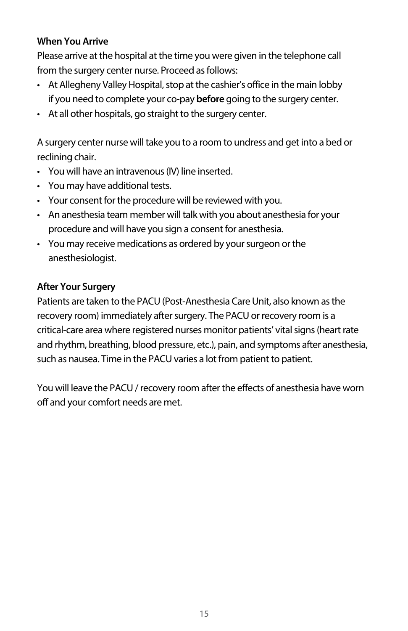### **When You Arrive**

Please arrive at the hospital at the time you were given in the telephone call from the surgery center nurse. Proceed as follows:

- At Allegheny Valley Hospital, stop at the cashier's office in the main lobby if you need to complete your co-pay **before** going to the surgery center.
- At all other hospitals, go straight to the surgery center.

A surgery center nurse will take you to a room to undress and get into a bed or reclining chair.

- You will have an intravenous (IV) line inserted.
- You may have additional tests.
- Your consent for the procedure will be reviewed with you.
- An anesthesia team member will talk with you about anesthesia for your procedure and will have you sign a consent for anesthesia.
- You may receive medications as ordered by your surgeon or the anesthesiologist.

## **After Your Surgery**

Patients are taken to the PACU (Post-Anesthesia Care Unit, also known asthe recovery room) immediately after surgery. The PACU or recovery room is a critical-care area where registered nurses monitor patients' vital signs (heart rate and rhythm, breathing, blood pressure, etc.), pain, and symptoms after anesthesia, such as nausea. Time in the PACU varies a lot from patient to patient.

You will leave the PACU / recovery room after the effects of anesthesia have worn off and your comfort needs are met.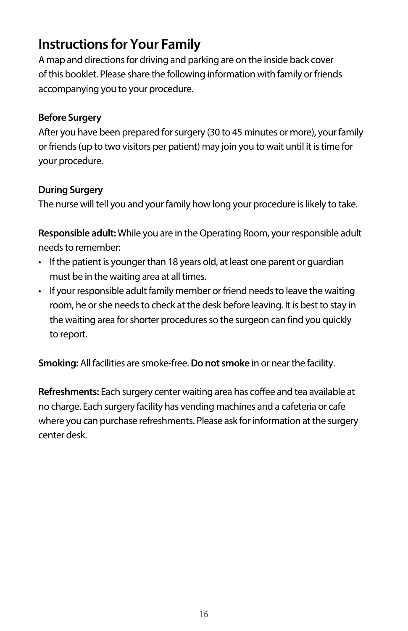## **Instructions for Your Family**

A map and directions for driving and parking are on the inside back cover of this booklet. Please share the following information with family or friends accompanying you to your procedure.

### **Before Surgery**

After you have been prepared for surgery (30 to 45 minutes or more), your family or friends (up to two visitors per patient) may join you to wait until it is time for your procedure.

#### **During Surgery**

The nurse will tell you and your family how long your procedure is likely to take.

**Responsible adult:** While you are in the Operating Room, your responsible adult needs to remember:

- If the patient is younger than 18 years old, at least one parent or quardian must be in the waiting area at all times.
- If your responsible adult family member or friend needs to leave the waiting room, he or she needs to check at the desk before leaving. It is best to stay in the waiting area for shorter procedures so the surgeon can find you quickly to report.

**Smoking:** All facilities are smoke-free.**Do not smoke** in or near the facility.

**Refreshments:** Each surgery center waiting area has coffee and tea available at no charge. Each surgery facility has vending machines and a cafeteria or cafe where you can purchase refreshments. Please ask for information at the surgery center desk.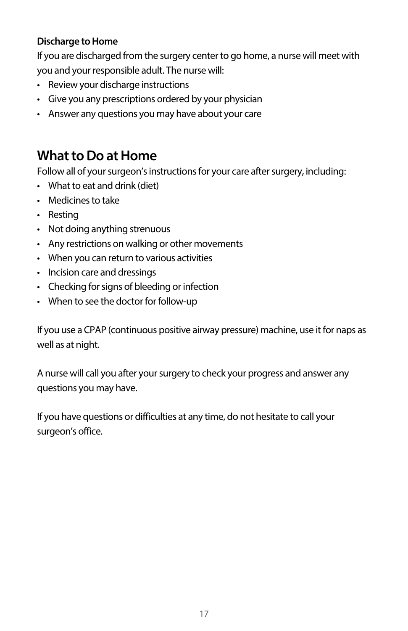## **Discharge to Home**

If you are discharged from the surgery center to go home, a nurse will meet with you and your responsible adult. The nurse will:

- Review your discharge instructions
- Give you any prescriptions ordered by your physician
- Answer any questions you may have about your care

## **What to Do at Home**

Follow all of your surgeon's instructions for your care after surgery, including:

- $\cdot$  What to eat and drink (diet)
- Medicines to take
- • Resting
- Not doing anything strenuous
- • Any restrictions on walking or other movements
- • When you can return to various activities
- Incision care and dressings
- Checking for signs of bleeding or infection
- When to see the doctor for follow-up

If you use a CPAP (continuous positive airway pressure) machine, use it for naps as well as at night.

A nurse will call you after your surgery to check your progress and answer any questions you may have.

If you have questions or difficulties at any time, do not hesitate to call your surgeon's office.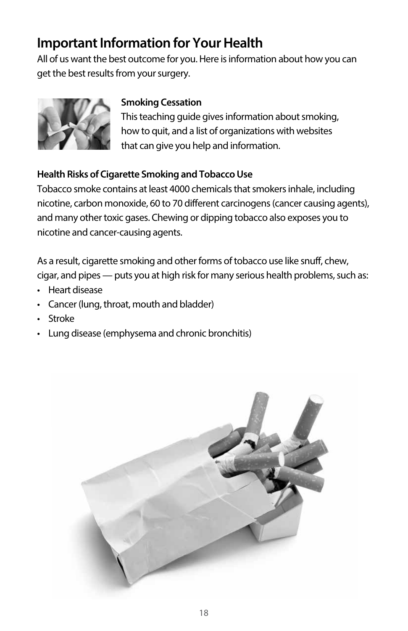## **Important Information for Your Health**

All of us want the best outcome for you. Here is information about how you can get the best results from your surgery.



## **Smoking Cessation**

 This teaching guide gives information about smoking, how to quit, and a list of organizations with websites that can give you help and information.

## **Health Risks of Cigarette Smoking and Tobacco Use**

Tobacco smoke contains at least 4000 chemicals that smokers inhale, including nicotine, carbon monoxide, 60 to 70 different carcinogens(cancer causing agents), and many other toxic gases. Chewing or dipping tobacco also exposes you to nicotine and cancer-causing agents.

As a result, cigarette smoking and other forms of tobacco use like snuff, chew, cigar, and pipes — puts you at high risk for many serious health problems, such as:

- • Heart disease
- Cancer (lung, throat, mouth and bladder)
- Stroke
- Lung disease (emphysema and chronic bronchitis)

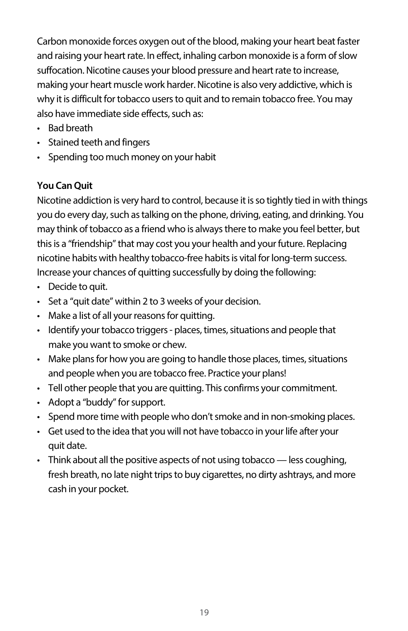Carbon monoxide forces oxygen out of the blood, making your heart beat faster and raising your heart rate. In effect, inhaling carbon monoxide is a form of slow suffocation. Nicotine causes your blood pressure and heart rate to increase, making your heart muscle work harder. Nicotine is also very addictive, which is why it is difficult for tobacco users to quit and to remain tobacco free. You may also have immediate side effects, such as:

- • Bad breath
- • Stained teeth and fingers
- • Spending too much money on your habit

#### **You Can Quit**

Nicotine addiction is very hard to control, because it is so tightly tied in with things you do every day, such as talking on the phone, driving, eating, and drinking. You may think of tobacco as a friend who is always there to make you feel better, but this is a "friendship" that may cost you your health and your future. Replacing nicotine habits with healthy tobacco-free habits is vital for long-term success. Increase your chances of quitting successfully by doing the following:

- Decide to quit.
- • Set a "quit date" within 2 to 3 weeks of your decision.
- Make a list of all your reasons for quitting.
- Identify your tobacco triggers places, times, situations and people that make you want to smoke or chew.
- Make plans for how you are going to handle those places, times, situations and people when you are tobacco free. Practice your plans!
- Tell other people that you are quitting. This confirms your commitment.
- Adopt a "buddy" for support.
- Spend more time with people who don't smoke and in non-smoking places.
- Get used to the idea that you will not have tobacco in your life after your quit date.
- $\cdot$  Think about all the positive aspects of not using tobacco less coughing, fresh breath, no late night trips to buy cigarettes, no dirty ashtrays, and more cash in your pocket.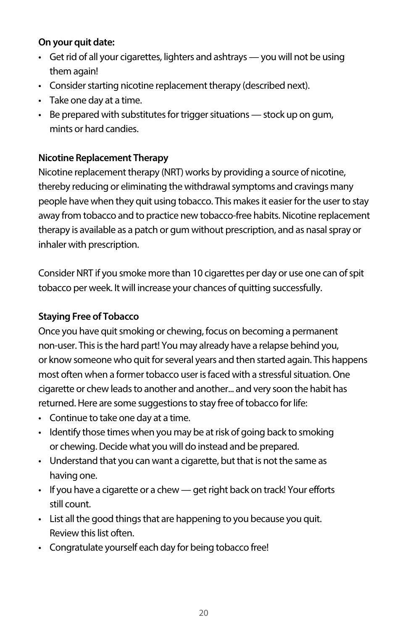#### **On your quit date:**

- Get rid of all your cigarettes, lighters and ashtrays you will not be using them again!
- Consider starting nicotine replacement therapy (described next).
- Take one day at a time.
- $\cdot$  Be prepared with substitutes for trigger situations stock up on gum, mints or hard candies.

#### **Nicotine Replacement Therapy**

Nicotine replacement therapy (NRT) works by providing a source of nicotine, thereby reducing or eliminating the withdrawal symptoms and cravings many people have when they quit using tobacco. This makes it easier for the user to stay away from tobacco and to practice new tobacco-free habits. Nicotine replacement therapy is available as a patch or gum without prescription, and as nasal spray or inhaler with prescription.

Consider NRT if you smoke more than 10 cigarettes per day or use one can of spit tobacco per week. It will increase your chances of quitting successfully.

### **Staying Free of Tobacco**

Once you have quit smoking or chewing, focus on becoming a permanent non-user. This is the hard part! You may already have a relapse behind you, or know someone who quit for several years and then started again. This happens most often when a former tobacco user is faced with a stressful situation. One cigarette or chew leads to another and another... and very soon the habit has returned. Here are some suggestions to stay free of tobacco for life:

- Continue to take one day at a time.
- Identify those times when you may be at risk of going back to smoking or chewing. Decide what you will do instead and be prepared.
- Understand that you can want a cigarette, but that is not the same as having one.
- If you have a cigarette or a chew get right back on track! Your efforts still count.
- List all the good things that are happening to you because you quit. Review this list often.
- Congratulate yourself each day for being tobacco free!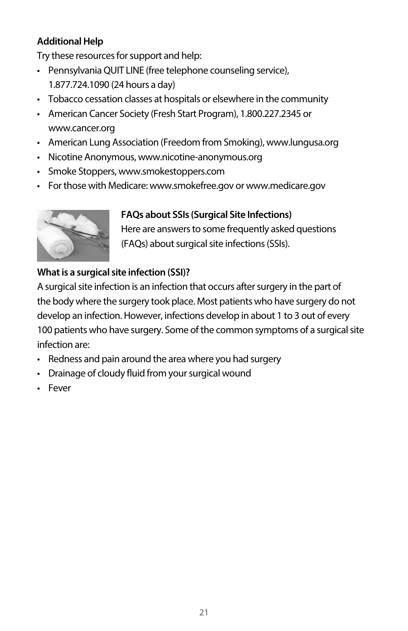## **Additional Help**

Try these resources for support and help:

- Pennsylvania QUIT LINE (free telephone counseling service), 1.877.724.1090 (24 hours a day)
- Tobacco cessation classes at hospitals or elsewhere in the community
- American Cancer Society (Fresh Start Program), 1.800.227.2345 or www.cancer.org
- American Lung Association (Freedom from Smoking), www.lungusa.org
- Nicotine Anonymous, www.nicotine-anonymous.org
- Smoke Stoppers, www.smokestoppers.com
- For those with Medicare: www.smokefree.gov or www.medicare.gov



## **FAQs about SSIs (Surgical Site Infections)**

 Here are answers to some frequently asked questions (FAQs) about surgical site infections (SSIs).

## **What is a surgical site infection (SSI)?**

A surgical site infection is an infection that occurs after surgery in the part of the body where the surgery took place. Most patients who have surgery do not develop an infection. However, infections develop in about 1 to 3 out of every 100 patients who have surgery. Some of the common symptoms of a surgical site infection are:

- Redness and pain around the area where you had surgery
- Drainage of cloudy fluid from your surgical wound
- Fever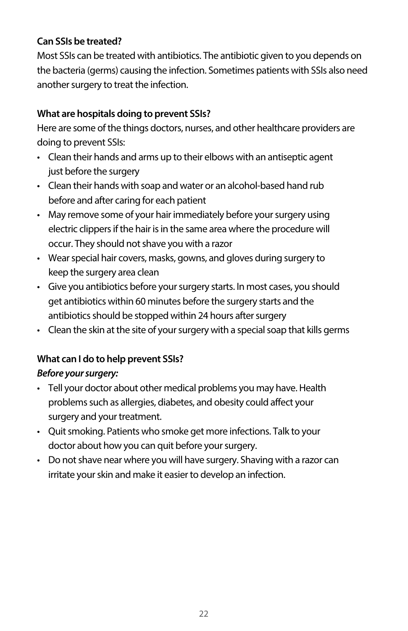## **Can SSIs be treated?**

Most SSIs can be treated with antibiotics. The antibiotic given to you depends on the bacteria (germs) causing the infection. Sometimes patients with SSIs also need another surgery to treat the infection.

## **What are hospitals doing to prevent SSIs?**

Here are some of the things doctors, nurses, and other healthcare providers are doing to prevent SSIs:

- Clean their hands and arms up to their elbows with an antiseptic agent just before the surgery
- Clean their hands with soap and water or an alcohol-based hand rub before and after caring for each patient
- May remove some of your hair immediately before your surgery using electric clippers if the hair is in the same area where the procedure will occur. They should not shave you with a razor
- Wear special hair covers, masks, gowns, and gloves during surgery to keep the surgery area clean
- Give you antibiotics before your surgery starts. In most cases, you should get antibiotics within 60 minutes before the surgery starts and the antibiotics should be stopped within 24 hours after surgery
- Clean the skin at the site of your surgery with a special soap that kills germs

## **What can I do to help prevent SSIs?** *Before your surgery:*

- Tell your doctor about other medical problems you may have. Health problems such as allergies, diabetes, and obesity could affect your surgery and your treatment.
- Quit smoking. Patients who smoke get more infections. Talk to your doctor about how you can quit before your surgery.
- Do not shave near where you will have surgery. Shaving with a razor can irritate your skin and make it easier to develop an infection.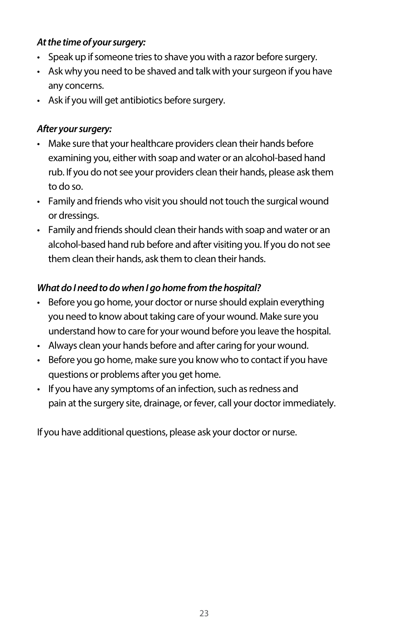#### *At the time of your surgery:*

- Speak up if someone tries to shave you with a razor before surgery.
- Ask why you need to be shaved and talk with your surgeon if you have any concerns.
- Ask if you will get antibiotics before surgery.

#### *After your surgery:*

- Make sure that your healthcare providers clean their hands before examining you, either with soap and water or an alcohol-based hand rub. If you do not see your providers clean their hands, please ask them to do so.
- Family and friends who visit you should not touch the surgical wound or dressings.
- Family and friends should clean their hands with soap and water or an alcohol-based hand rub before and after visiting you. If you do not see them clean their hands, ask them to clean their hands.

## *What do I need to do when I go home from the hospital?*

- Before you go home, your doctor or nurse should explain everything you need to know about taking care of your wound. Make sure you understand how to care for your wound before you leave the hospital.
- Always clean your hands before and after caring for your wound.
- Before you go home, make sure you know who to contact if you have questions or problems after you get home.
- If you have any symptoms of an infection, such as redness and pain at the surgery site, drainage, or fever, call your doctor immediately.

If you have additional questions, please ask your doctor or nurse.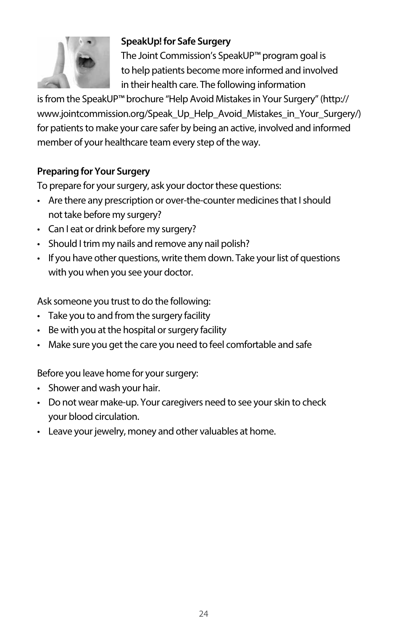

#### **SpeakUp! for Safe Surgery**

 The Joint Commission's SpeakUP™ program goal is to help patients become more informed and involved in their health care. The following information

is from the SpeakUP™ brochure "Help Avoid Mistakes in Your Surgery" (http:// www.jointcommission.org/Speak\_Up\_Help\_Avoid\_Mistakes\_in\_Your\_Surgery/) for patients to make your care safer by being an active, involved and informed member of your healthcare team every step of the way.

#### **Preparing for Your Surgery**

To prepare for your surgery, ask your doctor these questions:

- Are there any prescription or over-the-counter medicines that I should not take before my surgery?
- Can I eat or drink before my surgery?
- Should I trim my nails and remove any nail polish?
- If you have other questions, write them down. Take your list of questions with you when you see your doctor.

Ask someone you trust to do the following:

- Take you to and from the surgery facility
- Be with you at the hospital or surgery facility
- Make sure you get the care you need to feel comfortable and safe

Before you leave home for your surgery:

- Shower and wash your hair.
- Do not wear make-up. Your caregivers need to see your skin to check your blood circulation.
- Leave your jewelry, money and other valuables at home.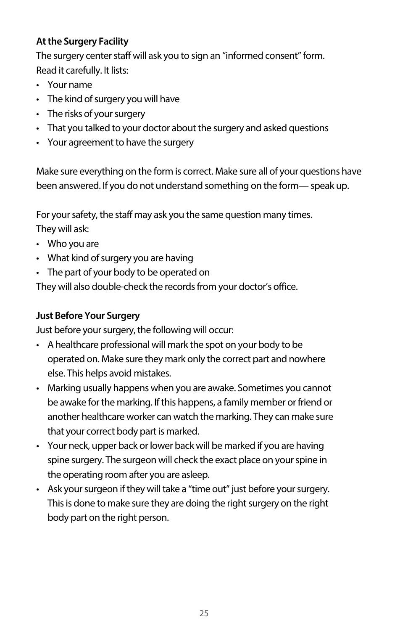## **At the Surgery Facility**

The surgery center staff will ask you to sign an "informed consent" form. Read it carefully. It lists:

- Your name
- $\cdot$  The kind of surgery you will have
- $\cdot$  The risks of your surgery
- That you talked to your doctor about the surgery and asked questions
- Your agreement to have the surgery

Make sure everything on the form is correct. Make sure all of your questions have been answered. If you do not understand something on the form— speak up.

For your safety, the staff may ask you the same question many times.

They will ask:

- $\cdot$  Who you are
- What kind of surgery you are having
- The part of your body to be operated on

They will also double-check the records from your doctor's office.

## **Just Before Your Surgery**

Just before your surgery, the following will occur:

- A healthcare professional will mark the spot on your body to be operated on. Make sure they mark only the correct part and nowhere else. This helps avoid mistakes.
- Marking usually happens when you are awake. Sometimes you cannot be awake for the marking. If this happens, a family member or friend or another healthcare worker can watch the marking. They can make sure that your correct body part is marked.
- Your neck, upper back or lower back will be marked if you are having spine surgery. The surgeon will check the exact place on your spine in the operating room after you are asleep.
- Ask your surgeon if they will take a "time out" just before your surgery. This is done to make sure they are doing the right surgery on the right body part on the right person.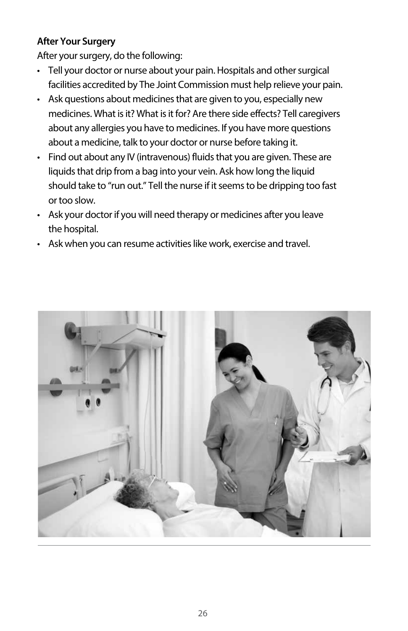## **After Your Surgery**

After your surgery, do the following:

- Tell your doctor or nurse about your pain. Hospitals and other surgical facilities accredited by The Joint Commission must help relieve your pain.
- Ask questions about medicines that are given to you, especially new medicines. What is it? What is it for? Are there side effects? Tell caregivers about any allergies you have to medicines. If you have more questions about a medicine, talk to your doctor or nurse before taking it.
- Find out about any IV (intravenous) fluids that you are given. These are liquids that drip from a bag into your vein. Ask how long the liquid should take to "run out." Tell the nurse if it seems to be dripping too fast or too slow.
- Ask your doctor if you will need therapy or medicines after you leave the hospital.
- Ask when you can resume activities like work, exercise and travel.

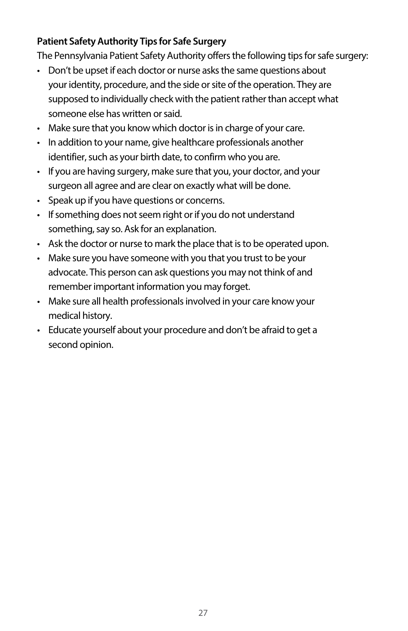## **Patient Safety Authority Tips for Safe Surgery**

The Pennsylvania Patient Safety Authority offers the following tips for safe surgery:

- Don't be upset if each doctor or nurse asks the same questions about your identity, procedure, and the side or site of the operation. They are supposed to individually check with the patient rather than accept what someone else has written or said.
- Make sure that you know which doctor is in charge of your care.
- In addition to your name, give healthcare professionals another identifier, such as your birth date, to confirm who you are.
- If you are having surgery, make sure that you, your doctor, and your surgeon all agree and are clear on exactly what will be done.
- • Speak up if you have questions or concerns.
- If something does not seem right or if you do not understand something, say so. Ask for an explanation.
- Ask the doctor or nurse to mark the place that is to be operated upon.
- Make sure you have someone with you that you trust to be your advocate. This person can ask questions you may not think of and remember important information you may forget.
- Make sure all health professionals involved in your care know your medical history.
- Educate yourself about your procedure and don't be afraid to get a second opinion.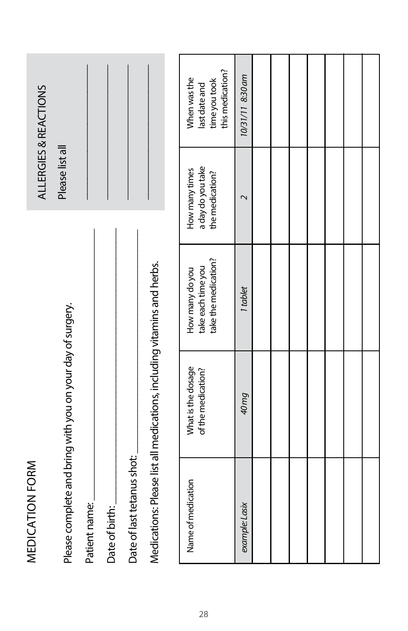| ALLERGIES & REACTIONS                                      |               |                |                            |                                                                         | this medication?<br>When was the<br>time you took<br>last date and | 10/31/11 8:30 am          |  |  |  |  |
|------------------------------------------------------------|---------------|----------------|----------------------------|-------------------------------------------------------------------------|--------------------------------------------------------------------|---------------------------|--|--|--|--|
| Please list all                                            |               |                |                            |                                                                         | a day do you take<br>How many times<br>the medication?             | $\overline{\mathsf{c}}$   |  |  |  |  |
|                                                            |               |                |                            |                                                                         | take the medication?<br>take each time you<br>How many do you      | 1 tablet                  |  |  |  |  |
| Please complete and bring with you on your day of surgery. |               |                |                            | Medications: Please list all medications, including vitamins and herbs. | What is the dosage<br>of the medication?                           | <b><i><u>A0mg</u></i></b> |  |  |  |  |
| MEDICATION FORM                                            | Patient name: | Date of birth: | Date of last tetanus shot: |                                                                         | Name of medication                                                 | example: Lasix            |  |  |  |  |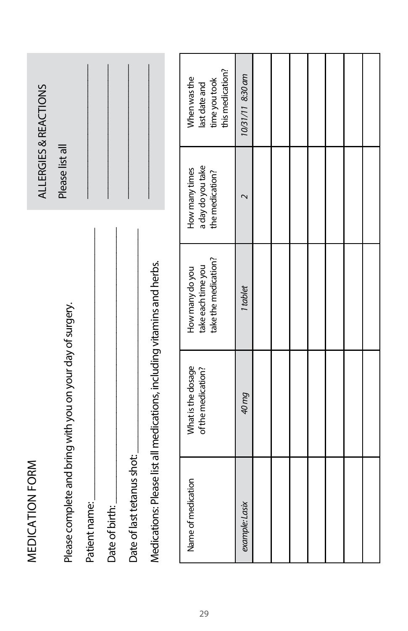| ALLERGIES & REACTIONS | Please list all                                            |               |                |                            |                                                                         | this medication?<br>When was the<br>time you took<br>last date and | 10/31/11 8:30 am |  |  |  |  |
|-----------------------|------------------------------------------------------------|---------------|----------------|----------------------------|-------------------------------------------------------------------------|--------------------------------------------------------------------|------------------|--|--|--|--|
|                       |                                                            |               |                |                            |                                                                         | a day do you take<br>How many times<br>the medication?             | $\sim$           |  |  |  |  |
|                       |                                                            |               |                |                            |                                                                         | take the medication?<br>take each time you<br>How many do you      | 1 tablet         |  |  |  |  |
|                       |                                                            |               |                |                            |                                                                         | What is the dosage<br>of the medication?                           | pu 0t            |  |  |  |  |
| MEDICATION FORM       | Please complete and bring with you on your day of surgery. | Patient name: | Date of birth: | Date of last tetanus shot: | Medications: Please list all medications, including vitamins and herbs. | Name of medication                                                 | example: Lasix   |  |  |  |  |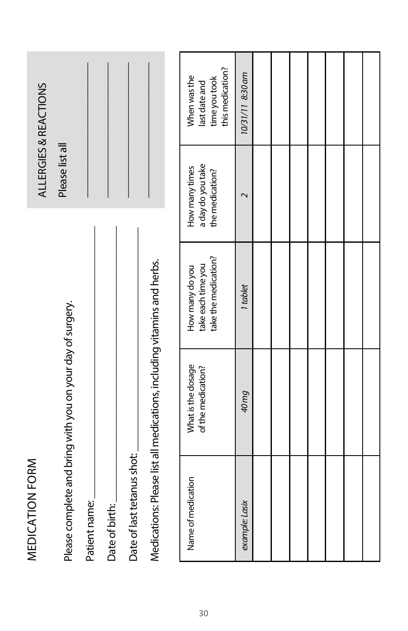|                       |                                                            |               |                |                            |                                                                         | this medication?<br>When was the<br>time you took<br>last date and | 10/31/11 8:30 am        |  |  |  |  |
|-----------------------|------------------------------------------------------------|---------------|----------------|----------------------------|-------------------------------------------------------------------------|--------------------------------------------------------------------|-------------------------|--|--|--|--|
| ALLERGIES & REACTIONS | Please list all                                            |               |                |                            |                                                                         |                                                                    |                         |  |  |  |  |
|                       |                                                            |               |                |                            |                                                                         | a day do you take<br>How many times<br>the medication?             | $\overline{\mathsf{C}}$ |  |  |  |  |
|                       |                                                            |               |                |                            |                                                                         | take the medication?<br>take each time you<br>How many do you      | 1 tablet                |  |  |  |  |
|                       |                                                            |               |                |                            |                                                                         | What is the dosage<br>of the medication?                           | <b><i>Buudt</i></b>     |  |  |  |  |
| MEDICATION FORM       | Please complete and bring with you on your day of surgery. | Patient name: | Date of birth: | Date of last tetanus shot: | Medications: Please list all medications, including vitamins and herbs. | Name of medication                                                 | example: Lasix          |  |  |  |  |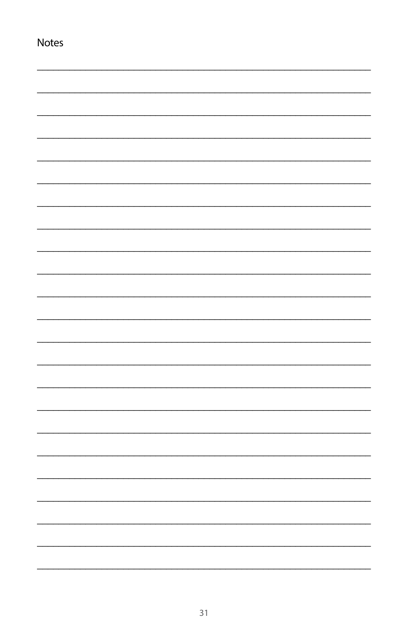| Notes |  |
|-------|--|
|       |  |
|       |  |
|       |  |
|       |  |
|       |  |
|       |  |
|       |  |
|       |  |
|       |  |
|       |  |
|       |  |
|       |  |
|       |  |
|       |  |
|       |  |
|       |  |
|       |  |
|       |  |
|       |  |
|       |  |
|       |  |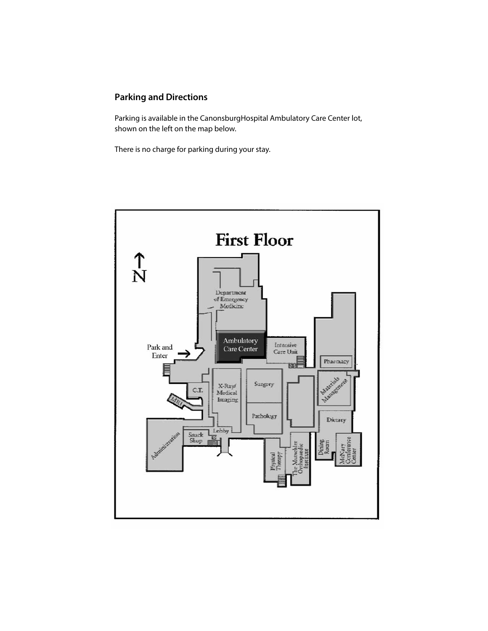## **Parking and Directions**

Parking is available in the CanonsburgHospital Ambulatory Care Center lot, shown on the left on the map below.

There is no charge for parking during your stay.